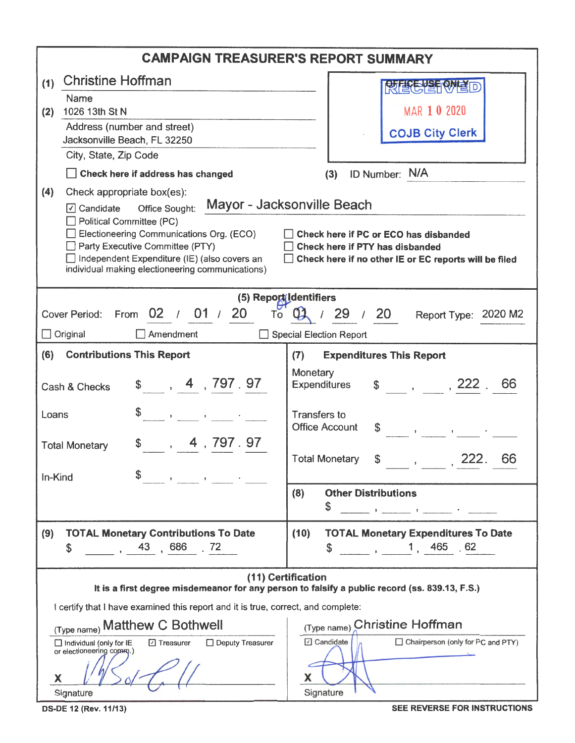| <b>CAMPAIGN TREASURER'S REPORT SUMMARY</b>                                                                                                 |                                                                                                                                                                                  |  |  |  |  |
|--------------------------------------------------------------------------------------------------------------------------------------------|----------------------------------------------------------------------------------------------------------------------------------------------------------------------------------|--|--|--|--|
| <b>Christine Hoffman</b><br>(1)                                                                                                            | 段度合格的情報                                                                                                                                                                          |  |  |  |  |
| Name                                                                                                                                       |                                                                                                                                                                                  |  |  |  |  |
| 1026 13th St N<br>(2)<br>Address (number and street)                                                                                       | MAR 1 0 2020                                                                                                                                                                     |  |  |  |  |
| Jacksonville Beach, FL 32250                                                                                                               | <b>COJB City Clerk</b>                                                                                                                                                           |  |  |  |  |
| City, State, Zip Code                                                                                                                      |                                                                                                                                                                                  |  |  |  |  |
| Check here if address has changed                                                                                                          | ID Number: N/A<br>(3)                                                                                                                                                            |  |  |  |  |
| (4)<br>Check appropriate box(es):                                                                                                          |                                                                                                                                                                                  |  |  |  |  |
| ○ Candidate Office Sought:                                                                                                                 | Mayor - Jacksonville Beach                                                                                                                                                       |  |  |  |  |
| Political Committee (PC)<br>Electioneering Communications Org. (ECO)                                                                       | Check here if PC or ECO has disbanded                                                                                                                                            |  |  |  |  |
| Party Executive Committee (PTY)                                                                                                            | Check here if PTY has disbanded                                                                                                                                                  |  |  |  |  |
| Independent Expenditure (IE) (also covers an<br>individual making electioneering communications)                                           | Check here if no other IE or EC reports will be filed                                                                                                                            |  |  |  |  |
|                                                                                                                                            |                                                                                                                                                                                  |  |  |  |  |
| From 02 / 01 / 20<br><b>Cover Period:</b><br>To                                                                                            | (5) Report Identifiers<br>01 / 29 / 20<br>Report Type: 2020 M2                                                                                                                   |  |  |  |  |
| Amendment<br>$\Box$ Original                                                                                                               | Special Election Report                                                                                                                                                          |  |  |  |  |
|                                                                                                                                            |                                                                                                                                                                                  |  |  |  |  |
| (6)<br><b>Contributions This Report</b>                                                                                                    | (7)<br><b>Expenditures This Report</b>                                                                                                                                           |  |  |  |  |
| \$ 4, 797.97<br>Cash & Checks                                                                                                              | Monetary<br>$\frac{1}{2}$ , , , 222 , 66<br><b>Expenditures</b>                                                                                                                  |  |  |  |  |
| Loans<br>$\mathcal{A}^{\mathcal{A}}$ , and $\mathcal{A}^{\mathcal{A}}$ , and $\mathcal{A}^{\mathcal{A}}$ , and $\mathcal{A}^{\mathcal{A}}$ | <b>Transfers to</b><br><b>Office Account</b><br>$\mathcal{A}^{\mathcal{A}}$ and $\mathcal{A}^{\mathcal{A}}$ are $\mathcal{A}^{\mathcal{A}}$ . In the $\mathcal{A}^{\mathcal{A}}$ |  |  |  |  |
| \$ 4, 797.97<br><b>Total Monetary</b>                                                                                                      |                                                                                                                                                                                  |  |  |  |  |
|                                                                                                                                            | <b>Total Monetary</b><br>\$<br>66<br>222.<br>$\mathbf{r}$                                                                                                                        |  |  |  |  |
| \$<br>In-Kind<br>$\mathcal{A}^{\mathcal{A}}$ and $\mathcal{A}^{\mathcal{A}}$ are $\mathcal{A}^{\mathcal{A}}$ . In the contribution of      |                                                                                                                                                                                  |  |  |  |  |
|                                                                                                                                            | (8)<br><b>Other Distributions</b>                                                                                                                                                |  |  |  |  |
|                                                                                                                                            | \$                                                                                                                                                                               |  |  |  |  |
| <b>TOTAL Monetary Contributions To Date</b><br>(9)                                                                                         | (10)<br><b>TOTAL Monetary Expenditures To Date</b>                                                                                                                               |  |  |  |  |
| , 43, 686, 72<br>\$                                                                                                                        | $\begin{array}{ccc} , & 1, & 465 \end{array}$ , 62<br>\$                                                                                                                         |  |  |  |  |
| (11) Certification                                                                                                                         |                                                                                                                                                                                  |  |  |  |  |
| It is a first degree misdemeanor for any person to falsify a public record (ss. 839.13, F.S.)                                              |                                                                                                                                                                                  |  |  |  |  |
| I certify that I have examined this report and it is true, correct, and complete:                                                          |                                                                                                                                                                                  |  |  |  |  |
| (Type name) Matthew C Bothwell                                                                                                             | (Type name) Christine Hoffman                                                                                                                                                    |  |  |  |  |
| Deputy Treasurer<br>Individual (only for IE<br>□ Treasurer<br>or electioneering commo.)                                                    | <b>7</b> Candidate<br>Chairperson (only for PC and PTY)                                                                                                                          |  |  |  |  |
| X<br>х                                                                                                                                     |                                                                                                                                                                                  |  |  |  |  |
| Signature                                                                                                                                  | Signature                                                                                                                                                                        |  |  |  |  |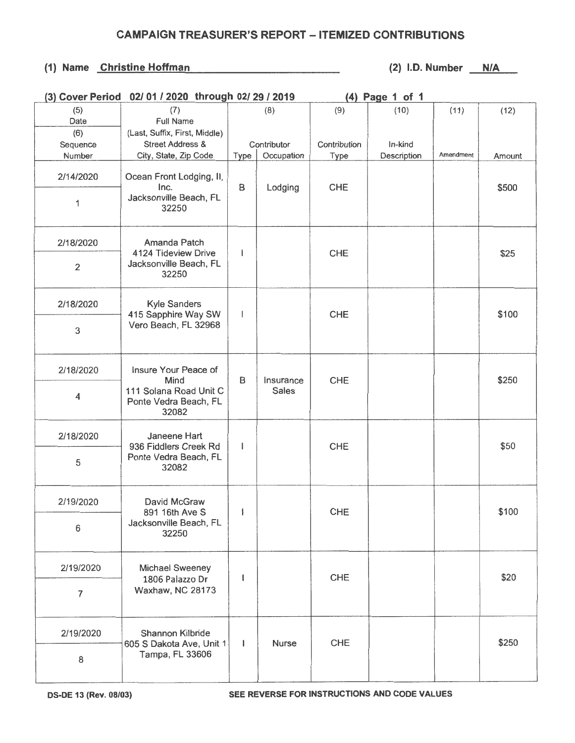## CAMPAIGN TREASURER'S REPORT - ITEMIZED CONTRIBUTIONS

## (1) Name Christine Hoffman (2) l.D. Number  $N/A$

|                | (3) Cover Period 02/01 / 2020 through 02/29 / 2019                                       |              |              | (4) Page 1 of 1 |             |           |        |
|----------------|------------------------------------------------------------------------------------------|--------------|--------------|-----------------|-------------|-----------|--------|
| (5)            | (7)                                                                                      |              | (8)          | (9)             | (10)        | (11)      | (12)   |
| Date           | Full Name                                                                                |              |              |                 |             |           |        |
| (6)            | (Last, Suffix, First, Middle)                                                            |              |              |                 |             |           |        |
| Sequence       | <b>Street Address &amp;</b>                                                              |              | Contributor  | Contribution    | In-kind     |           |        |
| Number         | City, State, Zip Code                                                                    | Type         | Occupation   | <b>Type</b>     | Description | Amendment | Amount |
| 2/14/2020      | Ocean Front Lodging, II,<br>Inc.                                                         | B            | Lodging      | <b>CHE</b>      |             |           | \$500  |
| 1              | Jacksonville Beach, FL<br>32250                                                          |              |              |                 |             |           |        |
| 2/18/2020      | Amanda Patch<br>4124 Tideview Drive<br>Jacksonville Beach, FL<br>32250                   | ı            |              | <b>CHE</b>      |             |           | \$25   |
| $\overline{2}$ |                                                                                          |              |              |                 |             |           |        |
| 2/18/2020      | <b>Kyle Sanders</b><br>415 Sapphire Way SW<br>Vero Beach, FL 32968                       | I            |              | <b>CHE</b>      |             |           | \$100  |
| 3              |                                                                                          |              |              |                 |             |           |        |
| 2/18/2020      | Insure Your Peace of<br>Mind<br>111 Solana Road Unit C<br>Ponte Vedra Beach, FL<br>32082 | B            | Insurance    | <b>CHE</b>      |             |           | \$250  |
| 4              |                                                                                          |              | <b>Sales</b> |                 |             |           |        |
| 2/18/2020      | Janeene Hart<br>936 Fiddlers Creek Rd<br>Ponte Vedra Beach, FL<br>32082                  | 1            |              | CHE             |             |           | \$50   |
| 5              |                                                                                          |              |              |                 |             |           |        |
| 2/19/2020      | David McGraw<br>891 16th Ave S<br>Jacksonville Beach, FL<br>32250                        | $\mathbf{L}$ |              | CHE             |             |           | \$100  |
| 6              |                                                                                          |              |              |                 |             |           |        |
| 2/19/2020      | Michael Sweeney<br>1806 Palazzo Dr<br>Waxhaw, NC 28173                                   | $\mathsf{l}$ |              | <b>CHE</b>      |             |           | \$20   |
| 7              |                                                                                          |              |              |                 |             |           |        |
| 2/19/2020      | Shannon Kilbride<br>605 S Dakota Ave, Unit 1                                             | $\mathbf{I}$ | Nurse        | <b>CHE</b>      |             |           | \$250  |
| 8              | Tampa, FL 33606                                                                          |              |              |                 |             |           |        |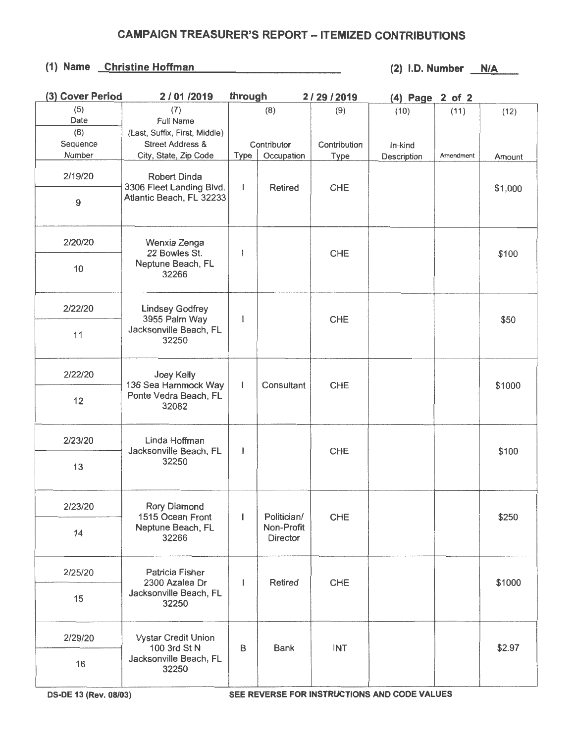## **CAMPAIGN TREASURER'S REPORT - ITEMIZED CONTRIBUTIONS**

## **(1) Name Christine Hoffman (2) l.D. Number N/A**

| (3) Cover Period | 2/01/2019                                                                  | through      |                                       | 2/29/2019    | (4) Page 2 of 2 |           |         |
|------------------|----------------------------------------------------------------------------|--------------|---------------------------------------|--------------|-----------------|-----------|---------|
| (5)              | (7)                                                                        |              | (8)                                   | (9)          | (10)            | (11)      | (12)    |
| Date             | Full Name                                                                  |              |                                       |              |                 |           |         |
| (6)              | (Last, Suffix, First, Middle)                                              |              |                                       |              |                 |           |         |
| Sequence         | <b>Street Address &amp;</b>                                                |              | Contributor                           | Contribution | In-kind         |           |         |
| Number           | City, State, Zip Code                                                      | <b>Type</b>  | Occupation                            | <b>Type</b>  | Description     | Amendment | Amount  |
| 2/19/20          | Robert Dinda<br>3306 Fleet Landing Blvd.                                   | T            | <b>Retired</b>                        | <b>CHE</b>   |                 |           | \$1,000 |
| 9                | Atlantic Beach, FL 32233                                                   |              |                                       |              |                 |           |         |
| 2/20/20          | Wenxia Zenga<br>22 Bowles St.<br>Neptune Beach, FL<br>32266                | ł            |                                       | CHE          |                 |           | \$100   |
| 10               |                                                                            |              |                                       |              |                 |           |         |
| 2/22/20          | <b>Lindsey Godfrey</b><br>3955 Palm Way<br>Jacksonville Beach, FL<br>32250 | l            |                                       | CHE          |                 |           | \$50    |
| 11               |                                                                            |              |                                       |              |                 |           |         |
| 2/22/20          | Joey Kelly<br>136 Sea Hammock Way<br>Ponte Vedra Beach, FL<br>32082        | $\mathbf{I}$ | Consultant                            | <b>CHE</b>   |                 |           | \$1000  |
| 12               |                                                                            |              |                                       |              |                 |           |         |
| 2/23/20          | Linda Hoffman<br>Jacksonville Beach, FL<br>32250                           | I            |                                       | <b>CHE</b>   |                 |           | \$100   |
| 13               |                                                                            |              |                                       |              |                 |           |         |
| 2/23/20          | <b>Rory Diamond</b><br>1515 Ocean Front<br>Neptune Beach, FL<br>32266      | L            | Politician/<br>Non-Profit<br>Director | CHE          |                 |           | \$250   |
| 14               |                                                                            |              |                                       |              |                 |           |         |
| 2/25/20          | Patricia Fisher<br>2300 Azalea Dr<br>Jacksonville Beach, FL<br>32250       | L            | Retired                               | <b>CHE</b>   |                 |           | \$1000  |
| 15               |                                                                            |              |                                       |              |                 |           |         |
| 2/29/20          | <b>Vystar Credit Union</b>                                                 | B            | <b>Bank</b>                           | <b>INT</b>   |                 |           | \$2.97  |
| 16               | 100 3rd St N<br>Jacksonville Beach, FL<br>32250                            |              |                                       |              |                 |           |         |